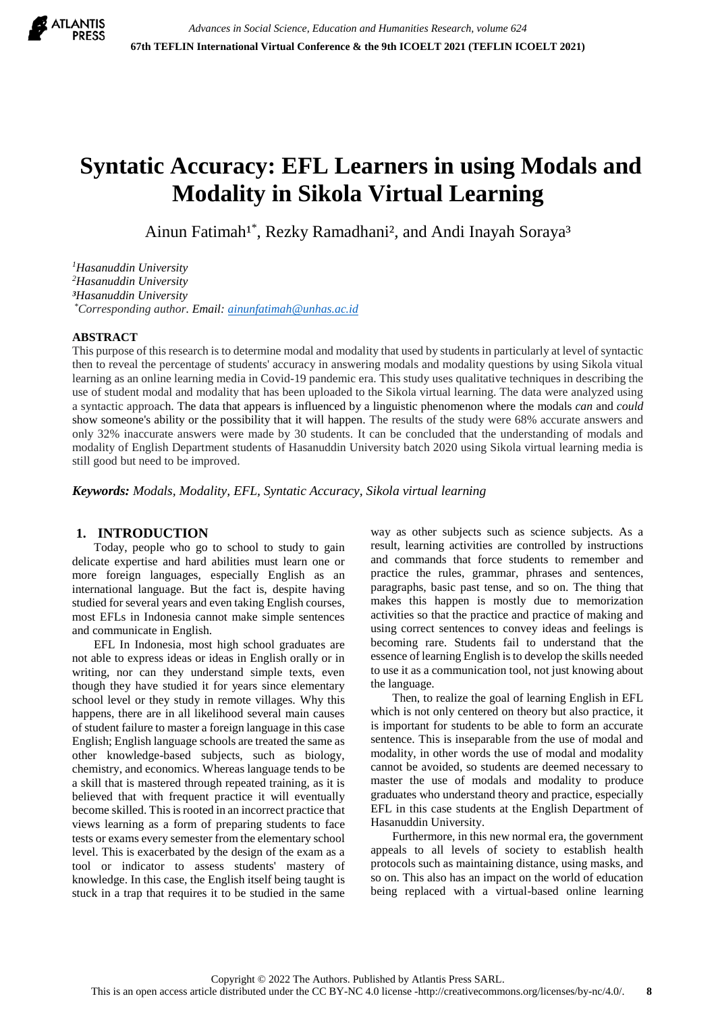

# **Syntatic Accuracy: EFL Learners in using Modals and Modality in Sikola Virtual Learning**

Ainun Fatimah<sup>1\*</sup>, Rezky Ramadhani<sup>2</sup>, and Andi Inayah Soraya<sup>3</sup>

*Hasanuddin University Hasanuddin University Hasanuddin University \*Corresponding author. Email: [ainunfatimah@unhas.ac.id](mailto:ainunfatimah@unhas.ac.id)*

## **ABSTRACT**

This purpose of this research is to determine modal and modality that used by students in particularly at level of syntactic then to reveal the percentage of students' accuracy in answering modals and modality questions by using Sikola vitual learning as an online learning media in Covid-19 pandemic era. This study uses qualitative techniques in describing the use of student modal and modality that has been uploaded to the Sikola virtual learning. The data were analyzed using a syntactic approach. The data that appears is influenced by a linguistic phenomenon where the modals *can* and *could* show someone's ability or the possibility that it will happen. The results of the study were 68% accurate answers and only 32% inaccurate answers were made by 30 students. It can be concluded that the understanding of modals and modality of English Department students of Hasanuddin University batch 2020 using Sikola virtual learning media is still good but need to be improved.

*Keywords: Modals, Modality, EFL, Syntatic Accuracy, Sikola virtual learning*

## **1. INTRODUCTION**

Today, people who go to school to study to gain delicate expertise and hard abilities must learn one or more foreign languages, especially English as an international language. But the fact is, despite having studied for several years and even taking English courses, most EFLs in Indonesia cannot make simple sentences and communicate in English.

EFL In Indonesia, most high school graduates are not able to express ideas or ideas in English orally or in writing, nor can they understand simple texts, even though they have studied it for years since elementary school level or they study in remote villages. Why this happens, there are in all likelihood several main causes of student failure to master a foreign language in this case English; English language schools are treated the same as other knowledge-based subjects, such as biology, chemistry, and economics. Whereas language tends to be a skill that is mastered through repeated training, as it is believed that with frequent practice it will eventually become skilled. This is rooted in an incorrect practice that views learning as a form of preparing students to face tests or exams every semester from the elementary school level. This is exacerbated by the design of the exam as a tool or indicator to assess students' mastery of knowledge. In this case, the English itself being taught is stuck in a trap that requires it to be studied in the same way as other subjects such as science subjects. As a result, learning activities are controlled by instructions and commands that force students to remember and practice the rules, grammar, phrases and sentences, paragraphs, basic past tense, and so on. The thing that makes this happen is mostly due to memorization activities so that the practice and practice of making and using correct sentences to convey ideas and feelings is becoming rare. Students fail to understand that the essence of learning English is to develop the skills needed to use it as a communication tool, not just knowing about the language.

Then, to realize the goal of learning English in EFL which is not only centered on theory but also practice, it is important for students to be able to form an accurate sentence. This is inseparable from the use of modal and modality, in other words the use of modal and modality cannot be avoided, so students are deemed necessary to master the use of modals and modality to produce graduates who understand theory and practice, especially EFL in this case students at the English Department of Hasanuddin University.

Furthermore, in this new normal era, the government appeals to all levels of society to establish health protocols such as maintaining distance, using masks, and so on. This also has an impact on the world of education being replaced with a virtual-based online learning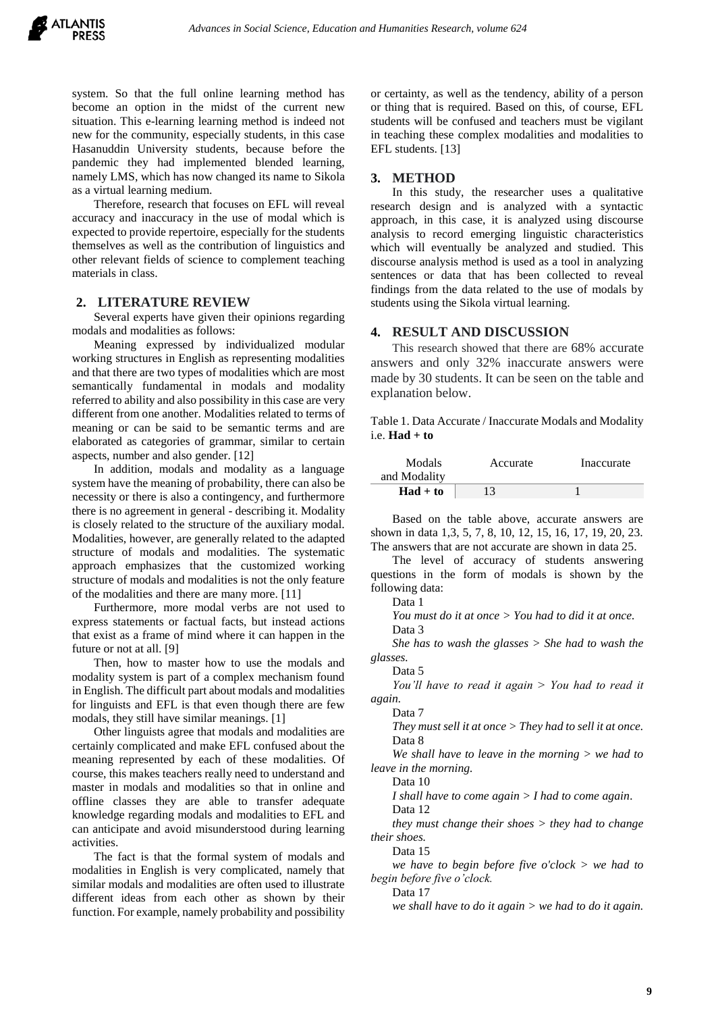system. So that the full online learning method has become an option in the midst of the current new situation. This e-learning learning method is indeed not new for the community, especially students, in this case Hasanuddin University students, because before the pandemic they had implemented blended learning, namely LMS, which has now changed its name to Sikola as a virtual learning medium.

Therefore, research that focuses on EFL will reveal accuracy and inaccuracy in the use of modal which is expected to provide repertoire, especially for the students themselves as well as the contribution of linguistics and other relevant fields of science to complement teaching materials in class.

#### **2. LITERATURE REVIEW**

Several experts have given their opinions regarding modals and modalities as follows:

Meaning expressed by individualized modular working structures in English as representing modalities and that there are two types of modalities which are most semantically fundamental in modals and modality referred to ability and also possibility in this case are very different from one another. Modalities related to terms of meaning or can be said to be semantic terms and are elaborated as categories of grammar, similar to certain aspects, number and also gender. [12]

In addition, modals and modality as a language system have the meaning of probability, there can also be necessity or there is also a contingency, and furthermore there is no agreement in general - describing it. Modality is closely related to the structure of the auxiliary modal. Modalities, however, are generally related to the adapted structure of modals and modalities. The systematic approach emphasizes that the customized working structure of modals and modalities is not the only feature of the modalities and there are many more. [11]

Furthermore, more modal verbs are not used to express statements or factual facts, but instead actions that exist as a frame of mind where it can happen in the future or not at all. [9]

Then, how to master how to use the modals and modality system is part of a complex mechanism found in English. The difficult part about modals and modalities for linguists and EFL is that even though there are few modals, they still have similar meanings. [1]

Other linguists agree that modals and modalities are certainly complicated and make EFL confused about the meaning represented by each of these modalities. Of course, this makes teachers really need to understand and master in modals and modalities so that in online and offline classes they are able to transfer adequate knowledge regarding modals and modalities to EFL and can anticipate and avoid misunderstood during learning activities.

The fact is that the formal system of modals and modalities in English is very complicated, namely that similar modals and modalities are often used to illustrate different ideas from each other as shown by their function. For example, namely probability and possibility

or certainty, as well as the tendency, ability of a person or thing that is required. Based on this, of course, EFL students will be confused and teachers must be vigilant in teaching these complex modalities and modalities to EFL students. [13]

#### **3. METHOD**

In this study, the researcher uses a qualitative research design and is analyzed with a syntactic approach, in this case, it is analyzed using discourse analysis to record emerging linguistic characteristics which will eventually be analyzed and studied. This discourse analysis method is used as a tool in analyzing sentences or data that has been collected to reveal findings from the data related to the use of modals by students using the Sikola virtual learning.

#### **4. RESULT AND DISCUSSION**

This research showed that there are 68% accurate answers and only 32% inaccurate answers were made by 30 students. It can be seen on the table and explanation below.

Table 1. Data Accurate / Inaccurate Modals and Modality i.e. **Had + to**

| Modals<br>and Modality | Accurate | Inaccurate |
|------------------------|----------|------------|
| $Had + to$             | 13       |            |

Based on the table above, accurate answers are shown in data 1,3, 5, 7, 8, 10, 12, 15, 16, 17, 19, 20, 23. The answers that are not accurate are shown in data 25.

The level of accuracy of students answering questions in the form of modals is shown by the following data:

Data 1

*You must do it at once > You had to did it at once.* Data 3

*She has to wash the glasses > She had to wash the glasses.*

Data 5

*You'll have to read it again > You had to read it again.*

Data 7

*They must sell it at once > They had to sell it at once.* Data 8

*We shall have to leave in the morning > we had to leave in the morning.*

Data 10

*I shall have to come again > I had to come again.*

Data 12

*they must change their shoes > they had to change their shoes.*

Data 15

*we have to begin before five o'clock > we had to begin before five o'clock.*

Data 17

*we shall have to do it again > we had to do it again.*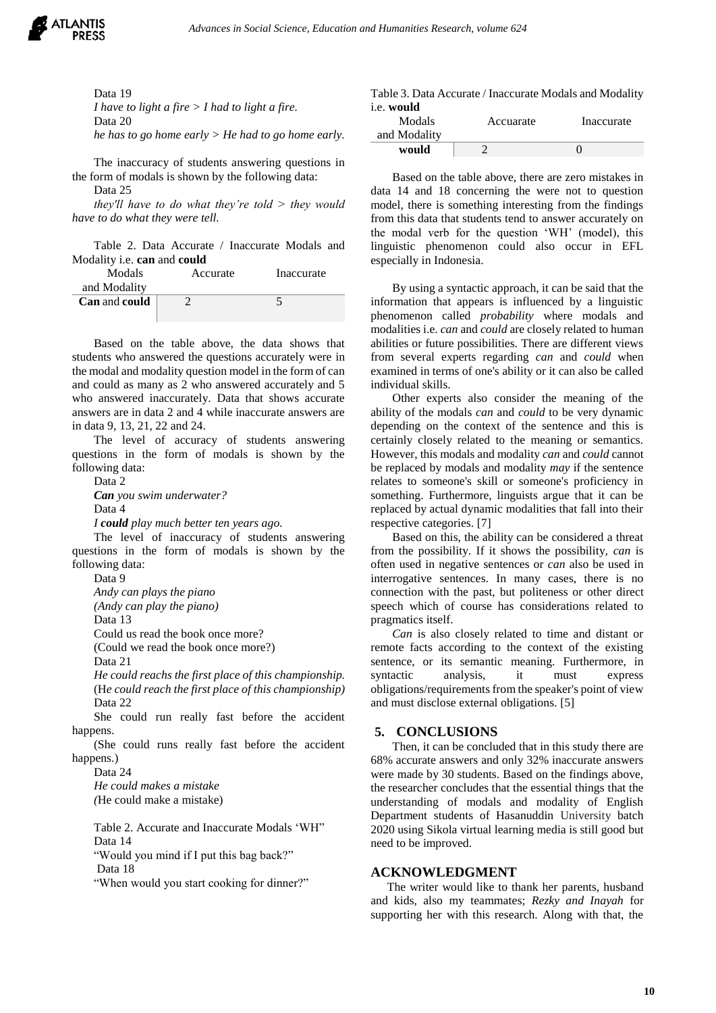

Data 19

*I have to light a fire > I had to light a fire.* Data 20 *he has to go home early > He had to go home early.* 

The inaccuracy of students answering questions in

the form of modals is shown by the following data: Data 25

*they'll have to do what they're told > they would have to do what they were tell.*

Table 2. Data Accurate / Inaccurate Modals and Modality i.e. **can** and **could**

| Modals                      | Accurate | Inaccurate |
|-----------------------------|----------|------------|
| and Modality                |          |            |
| <b>Can</b> and <b>could</b> |          |            |
|                             |          |            |

Based on the table above, the data shows that students who answered the questions accurately were in the modal and modality question model in the form of can and could as many as 2 who answered accurately and 5 who answered inaccurately. Data that shows accurate answers are in data 2 and 4 while inaccurate answers are in data 9, 13, 21, 22 and 24.

The level of accuracy of students answering questions in the form of modals is shown by the following data:

Data 2

*Can you swim underwater?* Data 4

*I could play much better ten years ago.*

The level of inaccuracy of students answering questions in the form of modals is shown by the following data:

Data 9

*Andy can plays the piano*

*(Andy can play the piano)*

Data 13

Could us read the book once more?

(Could we read the book once more?)

Data 21

*He could reachs the first place of this championship.* (H*e could reach the first place of this championship)* Data 22

She could run really fast before the accident happens.

(She could runs really fast before the accident happens.)

Data 24

*He could makes a mistake (*He could make a mistake)

Table 2. Accurate and Inaccurate Modals 'WH" Data 14

"Would you mind if I put this bag back?"

Data 18

"When would you start cooking for dinner?"

|            | Table 3. Data Accurate / Inaccurate Modals and Modality |
|------------|---------------------------------------------------------|
| i.e. would |                                                         |

| Modals<br>and Modality | Accuarate | Inaccurate |
|------------------------|-----------|------------|
| would                  |           |            |

Based on the table above, there are zero mistakes in data 14 and 18 concerning the were not to question model, there is something interesting from the findings from this data that students tend to answer accurately on the modal verb for the question 'WH' (model), this linguistic phenomenon could also occur in EFL especially in Indonesia.

By using a syntactic approach, it can be said that the information that appears is influenced by a linguistic phenomenon called *probability* where modals and modalities i.e. *can* and *could* are closely related to human abilities or future possibilities. There are different views from several experts regarding *can* and *could* when examined in terms of one's ability or it can also be called individual skills.

Other experts also consider the meaning of the ability of the modals *can* and *could* to be very dynamic depending on the context of the sentence and this is certainly closely related to the meaning or semantics. However, this modals and modality *can* and *could* cannot be replaced by modals and modality *may* if the sentence relates to someone's skill or someone's proficiency in something. Furthermore, linguists argue that it can be replaced by actual dynamic modalities that fall into their respective categories. [7]

Based on this, the ability can be considered a threat from the possibility. If it shows the possibility, *can* is often used in negative sentences or *can* also be used in interrogative sentences. In many cases, there is no connection with the past, but politeness or other direct speech which of course has considerations related to pragmatics itself.

*Can* is also closely related to time and distant or remote facts according to the context of the existing sentence, or its semantic meaning. Furthermore, in syntactic analysis, it must express obligations/requirements from the speaker's point of view and must disclose external obligations. [5]

## **5. CONCLUSIONS**

Then, it can be concluded that in this study there are 68% accurate answers and only 32% inaccurate answers were made by 30 students. Based on the findings above, the researcher concludes that the essential things that the understanding of modals and modality of English Department students of Hasanuddin University batch 2020 using Sikola virtual learning media is still good but need to be improved.

## **ACKNOWLEDGMENT**

The writer would like to thank her parents, husband and kids, also my teammates; *Rezky and Inayah* for supporting her with this research. Along with that, the